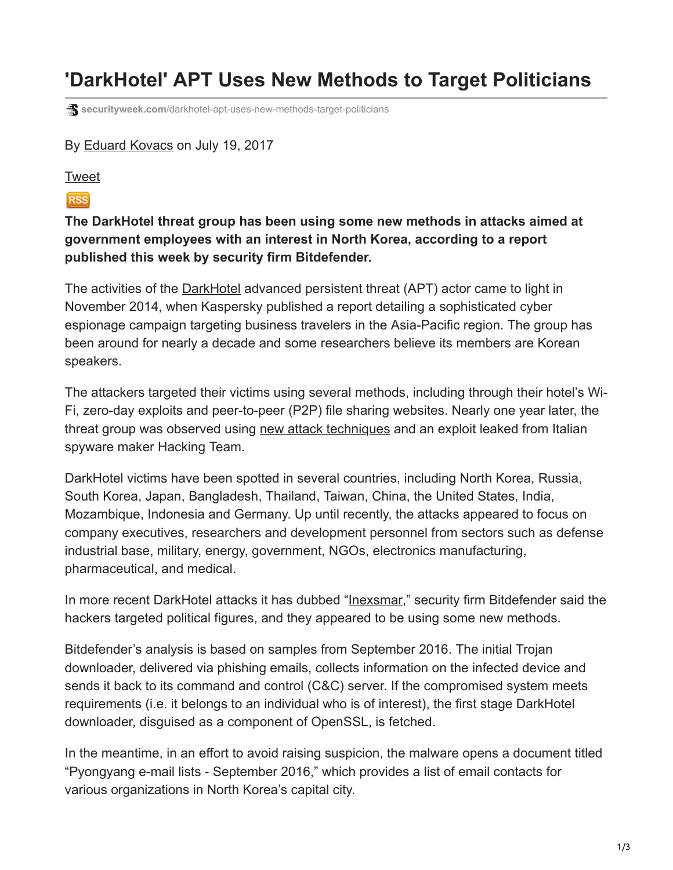## **'DarkHotel' APT Uses New Methods to Target Politicians**

**securityweek.com**[/darkhotel-apt-uses-new-methods-target-politicians](https://www.securityweek.com/darkhotel-apt-uses-new-methods-target-politicians)

## By [Eduard Kovacs](https://www.securityweek.com/authors/eduard-kovacs) on July 19, 2017

## [Tweet](https://twitter.com/share)

## **RSS**

**The DarkHotel threat group has been using some new methods in attacks aimed at government employees with an interest in North Korea, according to a report published this week by security firm Bitdefender.**

The activities of the [DarkHotel](https://www.securityweek.com/darkhotel-attackers-target-business-travelers-hotel-networks) advanced persistent threat (APT) actor came to light in November 2014, when Kaspersky published a report detailing a sophisticated cyber espionage campaign targeting business travelers in the Asia-Pacific region. The group has been around for nearly a decade and some researchers believe its members are Korean speakers.

The attackers targeted their victims using several methods, including through their hotel's Wi-Fi, zero-day exploits and peer-to-peer (P2P) file sharing websites. Nearly one year later, the threat group was observed using [new attack techniques](https://www.securityweek.com/darkhotel-apt-uses-hacking-team-exploit-target-specific-systems) and an exploit leaked from Italian spyware maker Hacking Team.

DarkHotel victims have been spotted in several countries, including North Korea, Russia, South Korea, Japan, Bangladesh, Thailand, Taiwan, China, the United States, India, Mozambique, Indonesia and Germany. Up until recently, the attacks appeared to focus on company executives, researchers and development personnel from sectors such as defense industrial base, military, energy, government, NGOs, electronics manufacturing, pharmaceutical, and medical.

In more recent DarkHotel attacks it has dubbed "[Inexsmar,](https://labs.bitdefender.com/2017/07/inexsmar-an-unusual-darkhotel-campaign/)" security firm Bitdefender said the hackers targeted political figures, and they appeared to be using some new methods.

Bitdefender's analysis is based on samples from September 2016. The initial Trojan downloader, delivered via phishing emails, collects information on the infected device and sends it back to its command and control (C&C) server. If the compromised system meets requirements (i.e. it belongs to an individual who is of interest), the first stage DarkHotel downloader, disguised as a component of OpenSSL, is fetched.

In the meantime, in an effort to avoid raising suspicion, the malware opens a document titled "Pyongyang e-mail lists - September 2016," which provides a list of email contacts for various organizations in North Korea's capital city.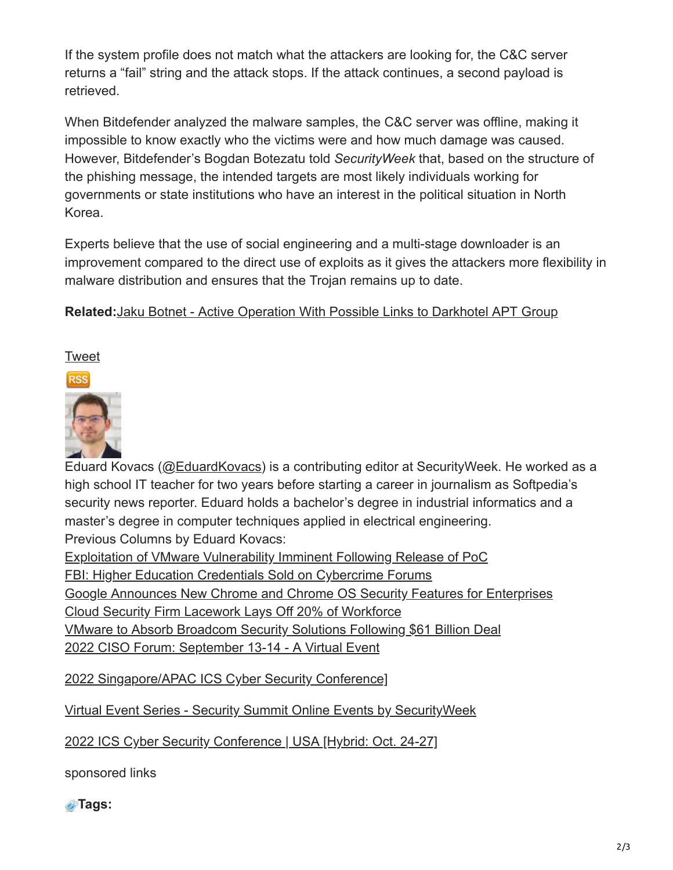If the system profile does not match what the attackers are looking for, the C&C server returns a "fail" string and the attack stops. If the attack continues, a second payload is retrieved.

When Bitdefender analyzed the malware samples, the C&C server was offline, making it impossible to know exactly who the victims were and how much damage was caused. However, Bitdefender's Bogdan Botezatu told *SecurityWeek* that, based on the structure of the phishing message, the intended targets are most likely individuals working for governments or state institutions who have an interest in the political situation in North Korea.

Experts believe that the use of social engineering and a multi-stage downloader is an improvement compared to the direct use of exploits as it gives the attackers more flexibility in malware distribution and ensures that the Trojan remains up to date.

**Related:**[Jaku Botnet - Active Operation With Possible Links to Darkhotel APT Group](https://www.securityweek.com/jaku-botnet-active-operation-possibly-controlled-darkhotel-apt-group)

**[Tweet](https://twitter.com/share)** 



Eduard Kovacs ([@EduardKovacs\)](https://twitter.com/EduardKovacs) is a contributing editor at SecurityWeek. He worked as a high school IT teacher for two years before starting a career in journalism as Softpedia's security news reporter. Eduard holds a bachelor's degree in industrial informatics and a master's degree in computer techniques applied in electrical engineering. Previous Columns by Eduard Kovacs:

[Exploitation of VMware Vulnerability Imminent Following Release of PoC](https://www.securityweek.com/exploitation-vmware-vulnerability-imminent-following-release-poc) [FBI: Higher Education Credentials Sold on Cybercrime Forums](https://www.securityweek.com/fbi-higher-education-credentials-sold-cybercrime-forums) [Google Announces New Chrome and Chrome OS Security Features for Enterprises](https://www.securityweek.com/google-announces-new-chrome-and-chrome-os-security-features-enterprises) [Cloud Security Firm Lacework Lays Off 20% of Workforce](https://www.securityweek.com/cloud-security-firm-lacework-lays-20-workforce)

[VMware to Absorb Broadcom Security Solutions Following \\$61 Billion Deal](https://www.securityweek.com/vmware-absorb-broadcom-security-solutions-following-61-billion-deal)

[2022 CISO Forum: September 13-14 - A Virtual Event](http://www.cisoforum.com/)

[2022 Singapore/APAC ICS Cyber Security Conference\]](http://www.icscybersecurityconference.com/singapore)

[Virtual Event Series - Security Summit Online Events by SecurityWeek](https://www.securitysummits.com/)

[2022 ICS Cyber Security Conference | USA \[Hybrid: Oct. 24-27\]](http://www.icscybersecurityconference.com/)

sponsored links

**Tags:**